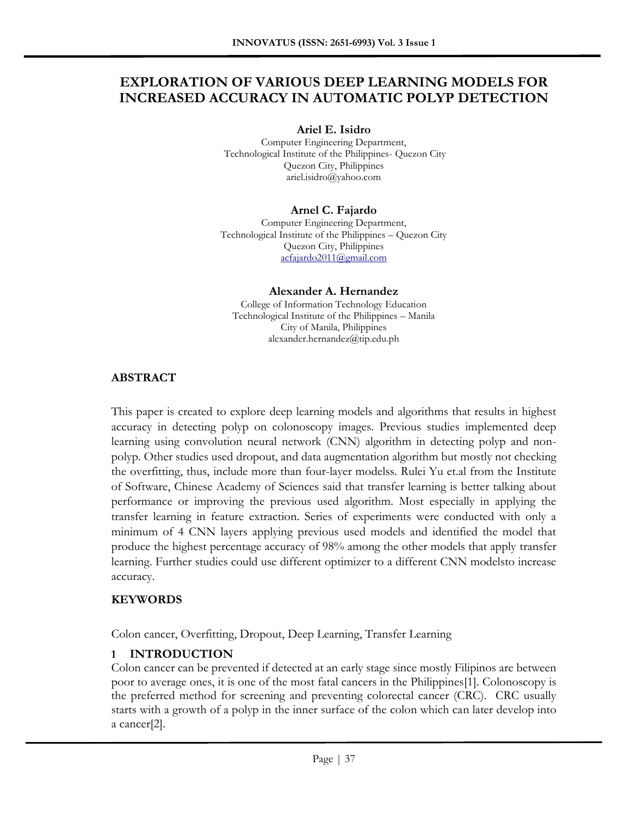# **EXPLORATION OF VARIOUS DEEP LEARNING MODELS FOR INCREASED ACCURACY IN AUTOMATIC POLYP DETECTION**

**Ariel E. Isidro**

Computer Engineering Department, Technological Institute of the Philippines- Quezon City Quezon City, Philippines ariel.isidro@yahoo.com

## **Arnel C. Fajardo**

Computer Engineering Department, Technological Institute of the Philippines – Quezon City Quezon City, Philippines [acfajardo2011@gmail.com](mailto:acfajardo2011@gmail.com)

#### **Alexander A. Hernandez**

College of Information Technology Education Technological Institute of the Philippines – Manila City of Manila, Philippines alexander.hernandez@tip.edu.ph

## **ABSTRACT**

This paper is created to explore deep learning models and algorithms that results in highest accuracy in detecting polyp on colonoscopy images. Previous studies implemented deep learning using convolution neural network (CNN) algorithm in detecting polyp and nonpolyp. Other studies used dropout, and data augmentation algorithm but mostly not checking the overfitting, thus, include more than four-layer modelss. Rulei Yu et.al from the Institute of Software, Chinese Academy of Sciences said that transfer learning is better talking about performance or improving the previous used algorithm. Most especially in applying the transfer learning in feature extraction. Series of experiments were conducted with only a minimum of 4 CNN layers applying previous used models and identified the model that produce the highest percentage accuracy of 98% among the other models that apply transfer learning. Further studies could use different optimizer to a different CNN modelsto increase accuracy.

#### **KEYWORDS**

Colon cancer, Overfitting, Dropout, Deep Learning, Transfer Learning

## **1 INTRODUCTION**

Colon cancer can be prevented if detected at an early stage since mostly Filipinos are between poor to average ones, it is one of the most fatal cancers in the Philippines[1]. Colonoscopy is the preferred method for screening and preventing colorectal cancer (CRC). CRC usually starts with a growth of a polyp in the inner surface of the colon which can later develop into a cancer[2].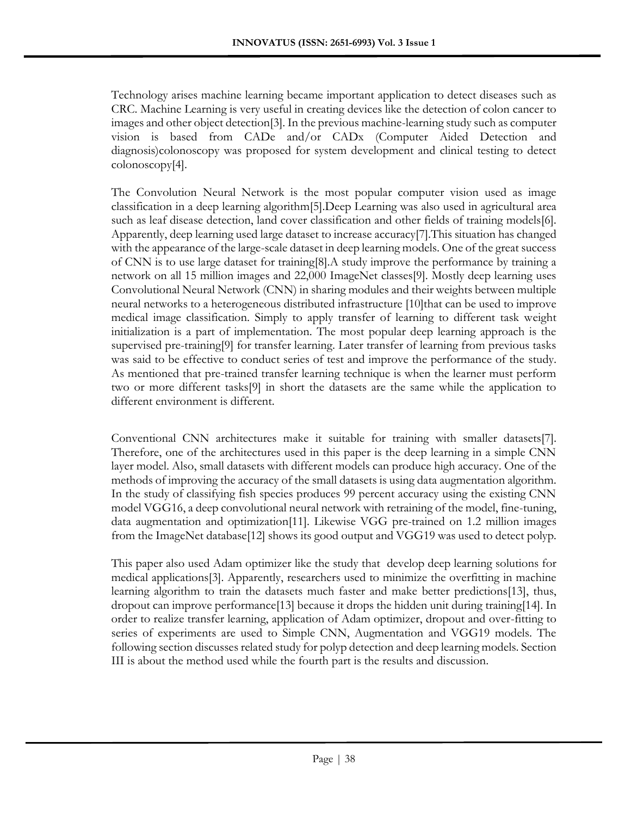Technology arises machine learning became important application to detect diseases such as CRC. Machine Learning is very useful in creating devices like the detection of colon cancer to images and other object detection[3]. In the previous machine-learning study such as computer vision is based from CADe and/or CADx (Computer Aided Detection and diagnosis)colonoscopy was proposed for system development and clinical testing to detect colonoscopy[4].

The Convolution Neural Network is the most popular computer vision used as image classification in a deep learning algorithm[5].Deep Learning was also used in agricultural area such as leaf disease detection, land cover classification and other fields of training models[6]. Apparently, deep learning used large dataset to increase accuracy[7].This situation has changed with the appearance of the large-scale dataset in deep learning models. One of the great success of CNN is to use large dataset for training[8].A study improve the performance by training a network on all 15 million images and 22,000 ImageNet classes[9]. Mostly deep learning uses Convolutional Neural Network (CNN) in sharing modules and their weights between multiple neural networks to a heterogeneous distributed infrastructure [10]that can be used to improve medical image classification. Simply to apply transfer of learning to different task weight initialization is a part of implementation. The most popular deep learning approach is the supervised pre-training[9] for transfer learning. Later transfer of learning from previous tasks was said to be effective to conduct series of test and improve the performance of the study. As mentioned that pre-trained transfer learning technique is when the learner must perform two or more different tasks[9] in short the datasets are the same while the application to different environment is different.

Conventional CNN architectures make it suitable for training with smaller datasets[7]. Therefore, one of the architectures used in this paper is the deep learning in a simple CNN layer model. Also, small datasets with different models can produce high accuracy. One of the methods of improving the accuracy of the small datasets is using data augmentation algorithm. In the study of classifying fish species produces 99 percent accuracy using the existing CNN model VGG16, a deep convolutional neural network with retraining of the model, fine-tuning, data augmentation and optimization[11]. Likewise VGG pre-trained on 1.2 million images from the ImageNet database[12] shows its good output and VGG19 was used to detect polyp.

This paper also used Adam optimizer like the study that develop deep learning solutions for medical applications[3]. Apparently, researchers used to minimize the overfitting in machine learning algorithm to train the datasets much faster and make better predictions[13], thus, dropout can improve performance[13] because it drops the hidden unit during training[14]. In order to realize transfer learning, application of Adam optimizer, dropout and over-fitting to series of experiments are used to Simple CNN, Augmentation and VGG19 models. The following section discusses related study for polyp detection and deep learning models. Section III is about the method used while the fourth part is the results and discussion.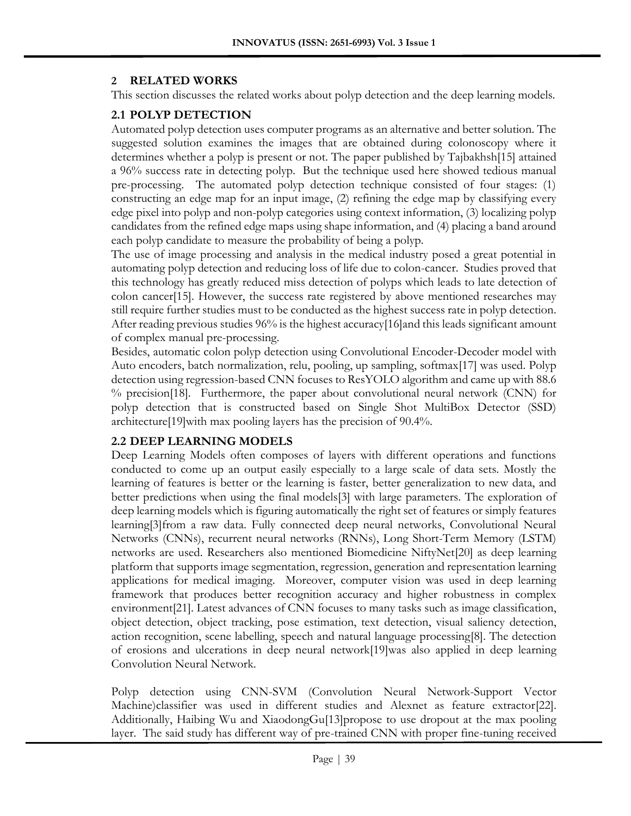#### **2 RELATED WORKS**

This section discusses the related works about polyp detection and the deep learning models.

## **2.1 POLYP DETECTION**

Automated polyp detection uses computer programs as an alternative and better solution. The suggested solution examines the images that are obtained during colonoscopy where it determines whether a polyp is present or not. The paper published by Tajbakhsh[15] attained a 96% success rate in detecting polyp. But the technique used here showed tedious manual pre-processing. The automated polyp detection technique consisted of four stages: (1) constructing an edge map for an input image, (2) refining the edge map by classifying every edge pixel into polyp and non-polyp categories using context information, (3) localizing polyp candidates from the refined edge maps using shape information, and (4) placing a band around each polyp candidate to measure the probability of being a polyp.

The use of image processing and analysis in the medical industry posed a great potential in automating polyp detection and reducing loss of life due to colon-cancer. Studies proved that this technology has greatly reduced miss detection of polyps which leads to late detection of colon cancer[15]. However, the success rate registered by above mentioned researches may still require further studies must to be conducted as the highest success rate in polyp detection. After reading previous studies 96% is the highest accuracy[16]and this leads significant amount of complex manual pre-processing.

Besides, automatic colon polyp detection using Convolutional Encoder-Decoder model with Auto encoders, batch normalization, relu, pooling, up sampling, softmax[17] was used. Polyp detection using regression-based CNN focuses to ResYOLO algorithm and came up with 88.6 % precision[18]. Furthermore, the paper about convolutional neural network (CNN) for polyp detection that is constructed based on Single Shot MultiBox Detector (SSD) architecture[19]with max pooling layers has the precision of 90.4%.

## **2.2 DEEP LEARNING MODELS**

Deep Learning Models often composes of layers with different operations and functions conducted to come up an output easily especially to a large scale of data sets. Mostly the learning of features is better or the learning is faster, better generalization to new data, and better predictions when using the final models[3] with large parameters. The exploration of deep learning models which is figuring automatically the right set of features or simply features learning[3]from a raw data. Fully connected deep neural networks, Convolutional Neural Networks (CNNs), recurrent neural networks (RNNs), Long Short-Term Memory (LSTM) networks are used. Researchers also mentioned Biomedicine NiftyNet[20] as deep learning platform that supports image segmentation, regression, generation and representation learning applications for medical imaging. Moreover, computer vision was used in deep learning framework that produces better recognition accuracy and higher robustness in complex environment[21]. Latest advances of CNN focuses to many tasks such as image classification, object detection, object tracking, pose estimation, text detection, visual saliency detection, action recognition, scene labelling, speech and natural language processing[8]. The detection of erosions and ulcerations in deep neural network[19]was also applied in deep learning Convolution Neural Network.

Polyp detection using CNN-SVM (Convolution Neural Network-Support Vector Machine)classifier was used in different studies and Alexnet as feature extractor[22]. Additionally, Haibing Wu and XiaodongGu[13]propose to use dropout at the max pooling layer. The said study has different way of pre-trained CNN with proper fine-tuning received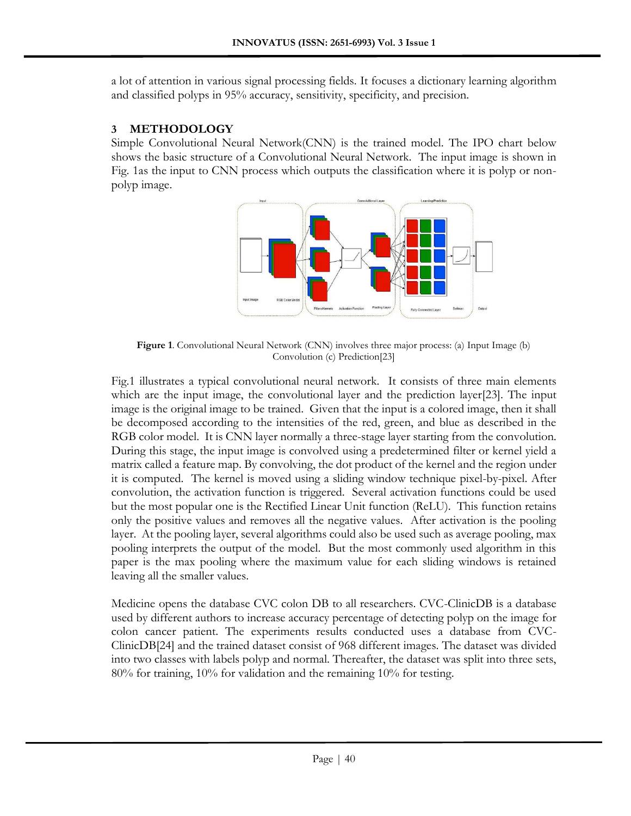a lot of attention in various signal processing fields. It focuses a dictionary learning algorithm and classified polyps in 95% accuracy, sensitivity, specificity, and precision.

## **3 METHODOLOGY**

Simple Convolutional Neural Network(CNN) is the trained model. The IPO chart below shows the basic structure of a Convolutional Neural Network. The input image is shown in Fig. 1as the input to CNN process which outputs the classification where it is polyp or nonpolyp image.



**Figure 1**. Convolutional Neural Network (CNN) involves three major process: (a) Input Image (b) Convolution (c) Prediction[23]

Fig.1 illustrates a typical convolutional neural network. It consists of three main elements which are the input image, the convolutional layer and the prediction layer[23]. The input image is the original image to be trained. Given that the input is a colored image, then it shall be decomposed according to the intensities of the red, green, and blue as described in the RGB color model. It is CNN layer normally a three-stage layer starting from the convolution. During this stage, the input image is convolved using a predetermined filter or kernel yield a matrix called a feature map. By convolving, the dot product of the kernel and the region under it is computed. The kernel is moved using a sliding window technique pixel-by-pixel. After convolution, the activation function is triggered. Several activation functions could be used but the most popular one is the Rectified Linear Unit function (ReLU). This function retains only the positive values and removes all the negative values. After activation is the pooling layer. At the pooling layer, several algorithms could also be used such as average pooling, max pooling interprets the output of the model. But the most commonly used algorithm in this paper is the max pooling where the maximum value for each sliding windows is retained leaving all the smaller values.

Medicine opens the database CVC colon DB to all researchers. CVC-ClinicDB is a database used by different authors to increase accuracy percentage of detecting polyp on the image for colon cancer patient. The experiments results conducted uses a database from CVC-ClinicDB[24] and the trained dataset consist of 968 different images. The dataset was divided into two classes with labels polyp and normal. Thereafter, the dataset was split into three sets, 80% for training, 10% for validation and the remaining 10% for testing.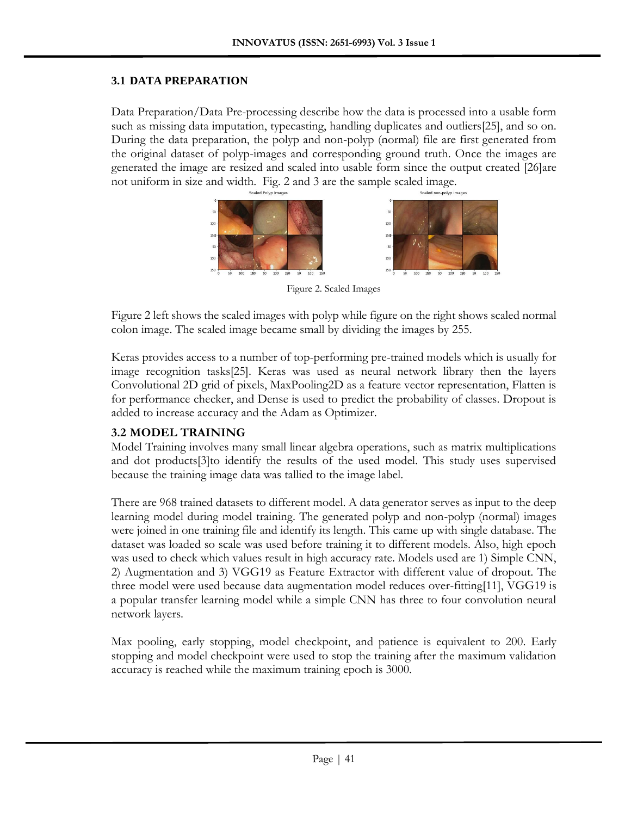## **3.1 DATA PREPARATION**

Data Preparation/Data Pre-processing describe how the data is processed into a usable form such as missing data imputation, typecasting, handling duplicates and outliers[25], and so on. During the data preparation, the polyp and non-polyp (normal) file are first generated from the original dataset of polyp-images and corresponding ground truth. Once the images are generated the image are resized and scaled into usable form since the output created [26]are not uniform in size and width. Fig. 2 and 3 are the sample scaled image.



Figure 2. Scaled Images

Figure 2 left shows the scaled images with polyp while figure on the right shows scaled normal colon image. The scaled image became small by dividing the images by 255.

Keras provides access to a number of top-performing pre-trained models which is usually for image recognition tasks[25]. Keras was used as neural network library then the layers Convolutional 2D grid of pixels, MaxPooling2D as a feature vector representation, Flatten is for performance checker, and Dense is used to predict the probability of classes. Dropout is added to increase accuracy and the Adam as Optimizer.

## **3.2 MODEL TRAINING**

Model Training involves many small linear algebra operations, such as matrix multiplications and dot products[3]to identify the results of the used model. This study uses supervised because the training image data was tallied to the image label.

There are 968 trained datasets to different model. A data generator serves as input to the deep learning model during model training. The generated polyp and non-polyp (normal) images were joined in one training file and identify its length. This came up with single database. The dataset was loaded so scale was used before training it to different models. Also, high epoch was used to check which values result in high accuracy rate. Models used are 1) Simple CNN, 2) Augmentation and 3) VGG19 as Feature Extractor with different value of dropout. The three model were used because data augmentation model reduces over-fitting[11], VGG19 is a popular transfer learning model while a simple CNN has three to four convolution neural network layers.

Max pooling, early stopping, model checkpoint, and patience is equivalent to 200. Early stopping and model checkpoint were used to stop the training after the maximum validation accuracy is reached while the maximum training epoch is 3000.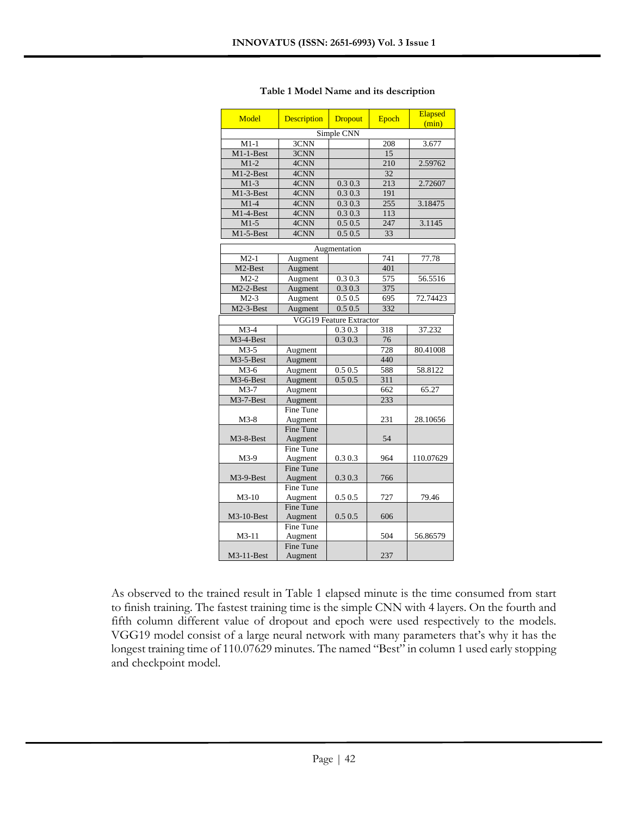| Model                  | <b>Description</b>       | <b>Dropout</b>          | Epoch | Elapsed<br>(min) |
|------------------------|--------------------------|-------------------------|-------|------------------|
|                        |                          | Simple CNN              |       |                  |
| $M1-1$                 | 3CNN                     |                         | 208   | 3.677            |
| M1-1-Best              | 3CNN                     |                         | 15    |                  |
| $M1-2$                 | 4CNN                     |                         | 210   | 2.59762          |
| $M1-2-Best$            | 4CNN                     |                         | 32    |                  |
| $M1-3$                 | 4CNN                     | 0.30.3                  | 213   | 2.72607          |
| M1-3-Best              | 4CNN                     | 0.3 0.3                 | 191   |                  |
| $M1-4$                 | $4\overline{\text{CNN}}$ | 0.3 0.3                 | 255   | 3.18475          |
| M1-4-Best              | 4CNN                     | 0.30.3                  | 113   |                  |
| $M1-5$                 | 4CNN                     | 0.50.5                  | 247   | 3.1145           |
| M1-5-Best              | 4CNN                     | 0.50.5                  | 33    |                  |
|                        |                          |                         |       |                  |
|                        |                          | Augmentation            | 741   |                  |
| $M2-1$<br>M2-Best      | Augment                  |                         | 401   | 77.78            |
| $M2-2$                 | Augment<br>Augment       | 0.30.3                  | 575   | 56.5516          |
|                        |                          |                         | 375   |                  |
| $M2-2-Best$            | Augment                  | 0.3 0.3                 |       |                  |
| $M2-3$                 | Augment                  | 0.50.5                  | 695   | 72.74423         |
| M2-3-Best              | Augment                  | 0.50.5                  | 332   |                  |
|                        |                          | VGG19 Feature Extractor |       |                  |
| $M3-4$                 |                          | 0.30.3                  | 318   | 37.232           |
| M <sub>3</sub> -4-Best |                          | 0.303                   | 76    |                  |
| $M3-5$                 | Augment                  |                         | 728   | 80.41008         |
| M3-5-Best              | Augment                  |                         | 440   |                  |
| $M3-6$                 | Augment                  | 0.50.5                  | 588   | 58.8122          |
| M3-6-Best              | Augment                  | 0.5 0.5                 | 311   |                  |
| $M3-7$                 | Augment                  |                         | 662   | 65.27            |
| M3-7-Best              | Augment                  |                         | 233   |                  |
|                        | <b>Fine Tune</b>         |                         |       |                  |
| $M3-8$                 | Augment                  |                         | 231   | 28.10656         |
|                        | <b>Fine Tune</b>         |                         |       |                  |
| M3-8-Best              | Augment                  |                         | 54    |                  |
|                        | Fine Tune                |                         |       |                  |
| $M3-9$                 | Augment                  | 0.30.3                  | 964   | 110.07629        |
|                        | <b>Fine Tune</b>         |                         |       |                  |
| M3-9-Best              | Augment                  | 0.3 0.3                 | 766   |                  |
|                        | Fine Tune                |                         |       |                  |
| $M3-10$                | Augment                  | 0.5 0.5                 | 727   | 79.46            |
|                        | <b>Fine Tune</b>         |                         |       |                  |
| M3-10-Best             | Augment                  | 0.50.5                  | 606   |                  |
|                        | Fine Tune                |                         |       |                  |
| $M3-11$                | Augment                  |                         | 504   | 56.86579         |
|                        | <b>Fine Tune</b>         |                         |       |                  |
| $M3-11-Best$           | Augment                  |                         | 237   |                  |

As observed to the trained result in Table 1 elapsed minute is the time consumed from start to finish training. The fastest training time is the simple CNN with 4 layers. On the fourth and fifth column different value of dropout and epoch were used respectively to the models. VGG19 model consist of a large neural network with many parameters that's why it has the longest training time of 110.07629 minutes. The named "Best" in column 1 used early stopping and checkpoint model.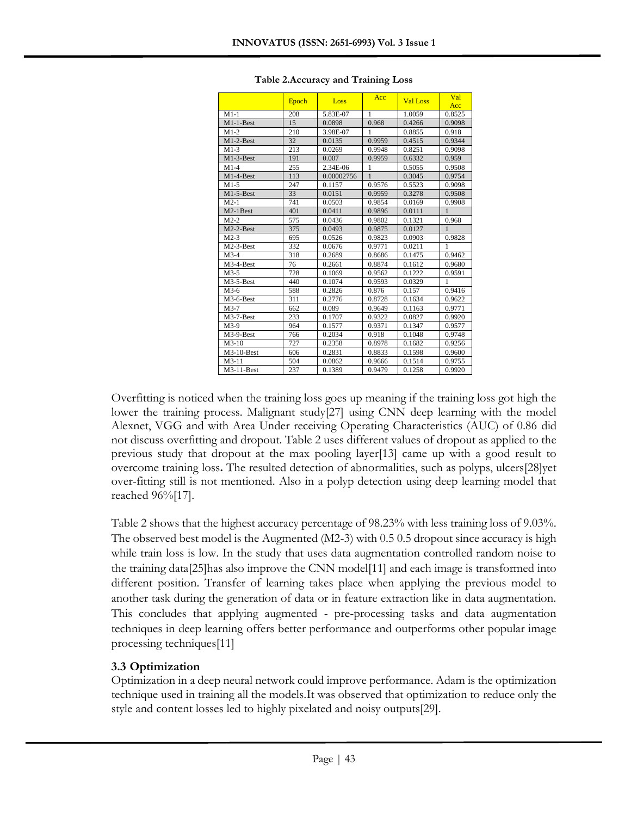|                        | Epoch | Loss       | Acc    | <b>Val Loss</b> | Val<br>Acc   |
|------------------------|-------|------------|--------|-----------------|--------------|
| $M1-1$                 | 208   | 5.83E-07   | 1      | 1.0059          | 0.8525       |
| $M1-1-Best$            | 15    | 0.0898     | 0.968  | 0.4266          | 0.9098       |
| $M1-2$                 | 210   | 3.98E-07   | 1      | 0.8855          | 0.918        |
| $M1-2-Best$            | 32    | 0.0135     | 0.9959 | 0.4515          | 0.9344       |
| $M1-3$                 | 213   | 0.0269     | 0.9948 | 0.8251          | 0.9098       |
| M1-3-Best              | 191   | 0.007      | 0.9959 | 0.6332          | 0.959        |
| $M1-4$                 | 255   | 2.34E-06   | 1      | 0.5055          | 0.9508       |
| $M1-4-Best$            | 113   | 0.00002756 | 1      | 0.3045          | 0.9754       |
| $M1-5$                 | 247   | 0.1157     | 0.9576 | 0.5523          | 0.9098       |
| $M1-5-Best$            | 33    | 0.0151     | 0.9959 | 0.3278          | 0.9508       |
| $M2-1$                 | 741   | 0.0503     | 0.9854 | 0.0169          | 0.9908       |
| M2-1Best               | 401   | 0.0411     | 0.9896 | 0.0111          | $\mathbf{1}$ |
| $M2-2$                 | 575   | 0.0436     | 0.9802 | 0.1321          | 0.968        |
| $M2-2-Best$            | 375   | 0.0493     | 0.9875 | 0.0127          | $\mathbf{1}$ |
| $M2-3$                 | 695   | 0.0526     | 0.9823 | 0.0903          | 0.9828       |
| $M2-3-Best$            | 332   | 0.0676     | 0.9771 | 0.0211          | 1            |
| $M3-4$                 | 318   | 0.2689     | 0.8686 | 0.1475          | 0.9462       |
| M3-4-Best              | 76    | 0.2661     | 0.8874 | 0.1612          | 0.9680       |
| $M3-5$                 | 728   | 0.1069     | 0.9562 | 0.1222          | 0.9591       |
| $M3-5-Best$            | 440   | 0.1074     | 0.9593 | 0.0329          | 1            |
| $M3-6$                 | 588   | 0.2826     | 0.876  | 0.157           | 0.9416       |
| M <sub>3</sub> -6-Best | 311   | 0.2776     | 0.8728 | 0.1634          | 0.9622       |
| $M3-7$                 | 662   | 0.089      | 0.9649 | 0.1163          | 0.9771       |
| M3-7-Best              | 233   | 0.1707     | 0.9322 | 0.0827          | 0.9920       |
| $M3-9$                 | 964   | 0.1577     | 0.9371 | 0.1347          | 0.9577       |
| M3-9-Best              | 766   | 0.2034     | 0.918  | 0.1048          | 0.9748       |
| $M3-10$                | 727   | 0.2358     | 0.8978 | 0.1682          | 0.9256       |
| $M3-10-Best$           | 606   | 0.2831     | 0.8833 | 0.1598          | 0.9600       |
| $M3-11$                | 504   | 0.0862     | 0.9666 | 0.1514          | 0.9755       |
| M3-11-Best             | 237   | 0.1389     | 0.9479 | 0.1258          | 0.9920       |

Overfitting is noticed when the training loss goes up meaning if the training loss got high the lower the training process. Malignant study[27] using CNN deep learning with the model Alexnet, VGG and with Area Under receiving Operating Characteristics (AUC) of 0.86 did not discuss overfitting and dropout. Table 2 uses different values of dropout as applied to the previous study that dropout at the max pooling layer[13] came up with a good result to overcome training loss**.** The resulted detection of abnormalities, such as polyps, ulcers[28]yet over-fitting still is not mentioned. Also in a polyp detection using deep learning model that reached 96%[17].

Table 2 shows that the highest accuracy percentage of 98.23% with less training loss of 9.03%. The observed best model is the Augmented (M2-3) with 0.5 0.5 dropout since accuracy is high while train loss is low. In the study that uses data augmentation controlled random noise to the training data[25]has also improve the CNN model[11] and each image is transformed into different position. Transfer of learning takes place when applying the previous model to another task during the generation of data or in feature extraction like in data augmentation. This concludes that applying augmented - pre-processing tasks and data augmentation techniques in deep learning offers better performance and outperforms other popular image processing techniques[11]

# **3.3 Optimization**

Optimization in a deep neural network could improve performance. Adam is the optimization technique used in training all the models.It was observed that optimization to reduce only the style and content losses led to highly pixelated and noisy outputs[29].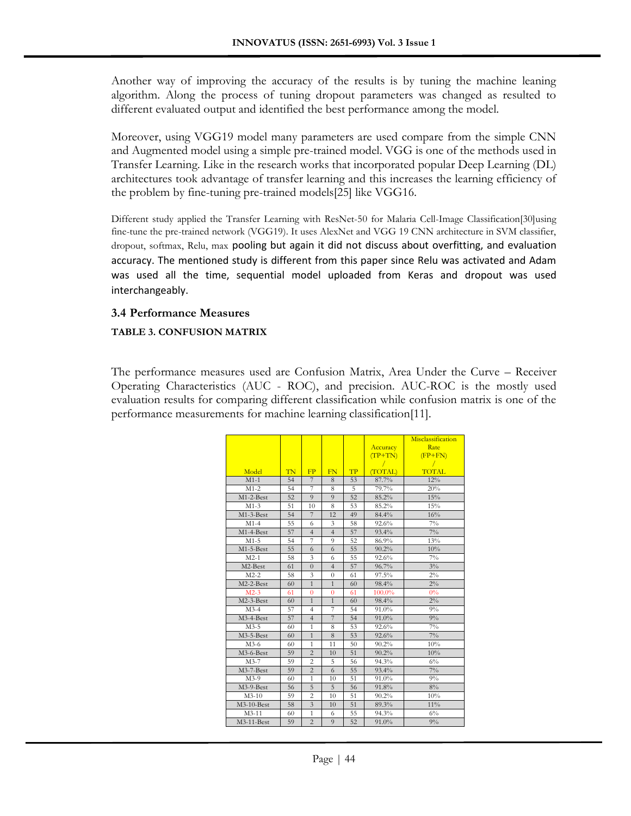Another way of improving the accuracy of the results is by tuning the machine leaning algorithm. Along the process of tuning dropout parameters was changed as resulted to different evaluated output and identified the best performance among the model.

Moreover, using VGG19 model many parameters are used compare from the simple CNN and Augmented model using a simple pre-trained model. VGG is one of the methods used in Transfer Learning. Like in the research works that incorporated popular Deep Learning (DL) architectures took advantage of transfer learning and this increases the learning efficiency of the problem by fine-tuning pre-trained models[25] like VGG16.

Different study applied the Transfer Learning with ResNet-50 for Malaria Cell-Image Classification[30]using fine-tune the pre-trained network (VGG19). It uses AlexNet and VGG 19 CNN architecture in SVM classifier, dropout, softmax, Relu, max pooling but again it did not discuss about overfitting, and evaluation accuracy. The mentioned study is different from this paper since Relu was activated and Adam was used all the time, sequential model uploaded from Keras and dropout was used interchangeably.

#### **3.4 Performance Measures**

#### **TABLE 3. CONFUSION MATRIX**

The performance measures used are Confusion Matrix, Area Under the Curve – Receiver Operating Characteristics (AUC - ROC), and precision. AUC-ROC is the mostly used evaluation results for comparing different classification while confusion matrix is one of the performance measurements for machine learning classification[11].

|                        |    |                         |                |    |           | Misclassification |
|------------------------|----|-------------------------|----------------|----|-----------|-------------------|
|                        |    |                         |                |    | Accuracy  | Rate              |
|                        |    |                         |                |    | $(TP+TN)$ | $(FP+FN)$         |
|                        |    |                         |                |    |           |                   |
| Model                  | TN | FP                      | FN             | TP | (TOTAL)   | <b>TOTAL</b>      |
| $M1-1$                 | 54 | 7                       | 8              | 53 | 87.7%     | 12%               |
| $M1-2$                 | 54 | 7                       | 8              | 5  | 79.7%     | 20%               |
| M1-2-Best              | 52 | 9                       | 9              | 52 | 85.2%     | 15%               |
| $M1-3$                 | 51 | 10                      | 8              | 53 | 85.2%     | 15%               |
| $M1-3-Best$            | 54 | 7                       | 12             | 49 | 84.4%     | 16%               |
| $M1-4$                 | 55 | 6                       | 3              | 58 | 92.6%     | $7\%$             |
| M1-4-Best              | 57 | $\overline{4}$          | $\overline{4}$ | 57 | 93.4%     | $7\%$             |
| $M1-5$                 | 54 | 7                       | $\overline{9}$ | 52 | 86.9%     | 13%               |
| M1-5-Best              | 55 | 6                       | 6              | 55 | 90.2%     | 10%               |
| $M2-1$                 | 58 | 3                       | 6              | 55 | 92.6%     | $7\%$             |
| M2-Best                | 61 | $\overline{0}$          | $\overline{4}$ | 57 | 96.7%     | $3\%$             |
| $M2-2$                 | 58 | 3                       | $\theta$       | 61 | 97.5%     | $2\%$             |
| M2-2-Best              | 60 | $\overline{1}$          | $\overline{1}$ | 60 | 98.4%     | $2\%$             |
| $M2-3$                 | 61 | $\overline{0}$          | $\overline{0}$ | 61 | 100.0%    | 0%                |
| $M2-3-Best$            | 60 | $\mathbf{1}$            | $\mathbf{1}$   | 60 | 98.4%     | $2\%$             |
| $M3-4$                 | 57 | $\overline{4}$          | $\overline{7}$ | 54 | 91.0%     | $9\%$             |
| M <sub>3</sub> -4-Best | 57 | $\overline{4}$          | 7              | 54 | 91.0%     | $9\%$             |
| $M3-5$                 | 60 | 1                       | 8              | 53 | 92.6%     | $7\%$             |
| $M3-5-Best$            | 60 | $\mathbf{1}$            | 8              | 53 | 92.6%     | $7\%$             |
| $M3-6$                 | 60 | 1                       | 11             | 50 | 90.2%     | 10%               |
| M <sub>3</sub> -6-Best | 59 | $\overline{2}$          | 10             | 51 | 90.2%     | 10%               |
| $M3-7$                 | 59 | $\overline{c}$          | 5              | 56 | 94.3%     | $6\%$             |
| M <sub>3</sub> -7-Best | 59 | $\overline{c}$          | 6              | 55 | 93.4%     | $7\%$             |
| $M3-9$                 | 60 | 1                       | 10             | 51 | 91.0%     | $9\%$             |
| M3-9-Best              | 56 | 5                       | 5              | 56 | 91.8%     | 8%                |
| $M3-10$                | 59 | $\overline{2}$          | 10             | 51 | 90.2%     | 10%               |
| M3-10-Best             | 58 | $\overline{\mathbf{3}}$ | 10             | 51 | 89.3%     | 11%               |
| $M3-11$                | 60 | 1                       | 6              | 55 | 94.3%     | $6\%$             |
| M3-11-Best             | 59 | $\overline{2}$          | $\overline{9}$ | 52 | 91.0%     | 9%                |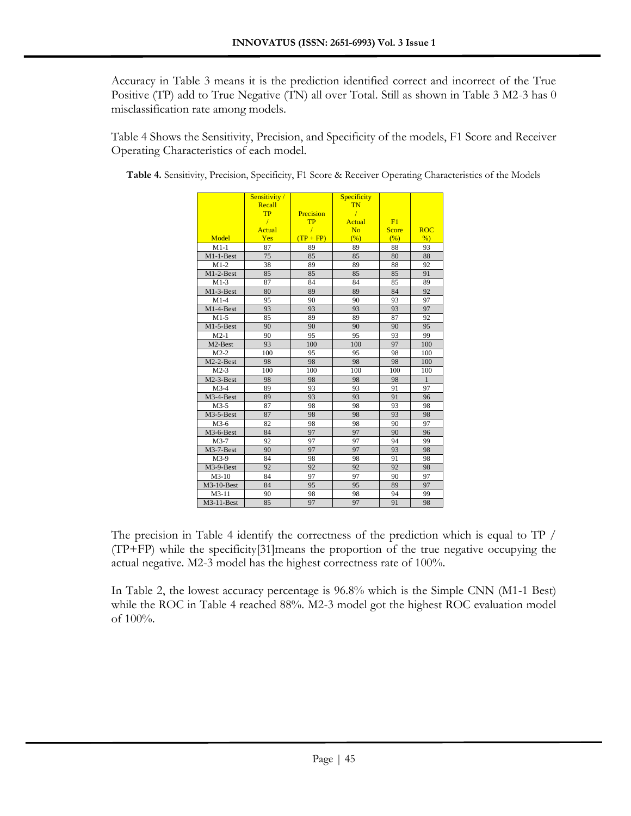Accuracy in Table 3 means it is the prediction identified correct and incorrect of the True Positive (TP) add to True Negative (TN) all over Total. Still as shown in Table 3 M2-3 has 0 misclassification rate among models.

Table 4 Shows the Sensitivity, Precision, and Specificity of the models, F1 Score and Receiver Operating Characteristics of each model.

|                         | Sensitivity/ |             | Specificity    |              |               |
|-------------------------|--------------|-------------|----------------|--------------|---------------|
|                         | Recall       |             | <b>TN</b>      |              |               |
|                         | <b>TP</b>    | Precision   | $\sqrt{ }$     |              |               |
|                         | $\sqrt{ }$   | <b>TP</b>   | Actual         | F1           |               |
|                         | Actual       | $\prime$    | N <sub>0</sub> | <b>Score</b> | <b>ROC</b>    |
| Model                   | Yes          | $(TP + FP)$ | (%)            | (%)          | $\frac{9}{6}$ |
| $M1-1$                  | 87           | 89          | 89             | 88           | 93            |
| $M1-1-Best$             | 75           | 85          | 85             | 80           | 88            |
| $M1-2$                  | 38           | 89          | 89             | 88           | 92            |
| $M1-2-Best$             | 85           | 85          | 85             | 85           | 91            |
| $M1-3$                  | 87           | 84          | 84             | 85           | 89            |
| $\overline{M}$ 1-3-Best | 80           | 89          | 89             | 84           | 92            |
| $M1-4$                  | 95           | 90          | 90             | 93           | 97            |
| M1-4-Best               | 93           | 93          | 93             | 93           | 97            |
| $M1-5$                  | 85           | 89          | 89             | 87           | 92            |
| M1-5-Best               | 90           | 90          | 90             | 90           | 95            |
| $M2-1$                  | 90           | 95          | 95             | 93           | 99            |
| M2-Best                 | 93           | 100         | 100            | 97           | 100           |
| $M2-2$                  | 100          | 95          | 95             | 98           | 100           |
| $M2-2-Best$             | 98           | 98          | 98             | 98           | 100           |
| $M2-3$                  | 100          | 100         | 100            | 100          | 100           |
| $M2-3-Best$             | 98           | 98          | 98             | 98           | $\mathbf{1}$  |
| $M3-4$                  | 89           | 93          | 93             | 91           | 97            |
| M3-4-Best               | 89           | 93          | 93             | 91           | 96            |
| $M3-5$                  | 87           | 98          | 98             | 93           | 98            |
| $M3-5-Best$             | 87           | 98          | 98             | 93           | 98            |
| $M3-6$                  | 82           | 98          | 98             | 90           | 97            |
| $M3-6$ -Best            | 84           | 97          | 97             | 90           | 96            |
| $M3-7$                  | 92           | 97          | 97             | 94           | 99            |
| M3-7-Best               | 90           | 97          | 97             | 93           | 98            |
| $M3-9$                  | 84           | 98          | 98             | 91           | 98            |
| M3-9-Best               | 92           | 92          | 92             | 92           | 98            |
| $M3-10$                 | 84           | 97          | 97             | 90           | 97            |
| $M3-10$ -Best           | 84           | 95          | 95             | 89           | 97            |
| $M3-11$                 | 90           | 98          | 98             | 94           | 99            |
| M3-11-Best              | 85           | 97          | 97             | 91           | 98            |

**Table 4.** Sensitivity, Precision, Specificity, F1 Score & Receiver Operating Characteristics of the Models

The precision in Table 4 identify the correctness of the prediction which is equal to TP / (TP+FP) while the specificity[31]means the proportion of the true negative occupying the actual negative. M2-3 model has the highest correctness rate of 100%.

In Table 2, the lowest accuracy percentage is 96.8% which is the Simple CNN (M1-1 Best) while the ROC in Table 4 reached 88%. M2-3 model got the highest ROC evaluation model of 100%.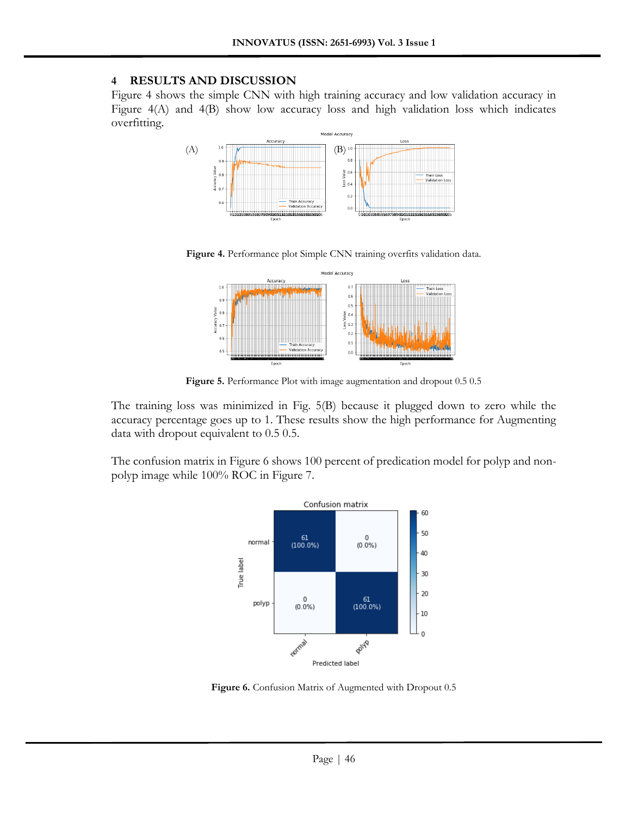#### **4 RESULTS AND DISCUSSION**

Figure 4 shows the simple CNN with high training accuracy and low validation accuracy in Figure 4(A) and 4(B) show low accuracy loss and high validation loss which indicates overfitting.



Figure 4. Performance plot Simple CNN training overfits validation data.



Figure 5. Performance Plot with image augmentation and dropout  $0.5$  0.5

The training loss was minimized in Fig. 5(B) because it plugged down to zero while the accuracy percentage goes up to 1. These results show the high performance for Augmenting data with dropout equivalent to 0.5 0.5.

The confusion matrix in Figure 6 shows 100 percent of predication model for polyp and nonpolyp image while 100% ROC in Figure 7.



Figure 6. Confusion Matrix of Augmented with Dropout 0.5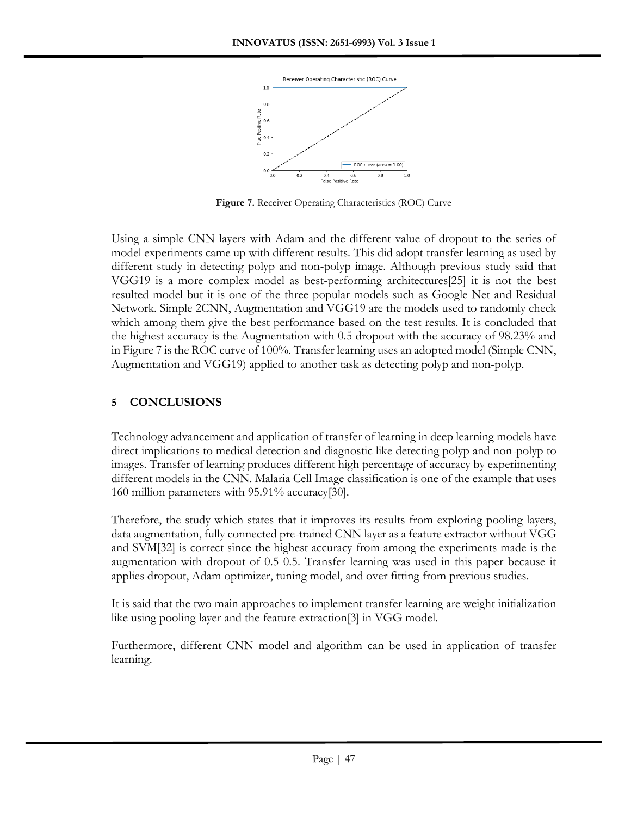

**Figure 7.** Receiver Operating Characteristics (ROC) Curve

Using a simple CNN layers with Adam and the different value of dropout to the series of model experiments came up with different results. This did adopt transfer learning as used by different study in detecting polyp and non-polyp image. Although previous study said that VGG19 is a more complex model as best-performing architectures[25] it is not the best resulted model but it is one of the three popular models such as Google Net and Residual Network. Simple 2CNN, Augmentation and VGG19 are the models used to randomly check which among them give the best performance based on the test results. It is concluded that the highest accuracy is the Augmentation with 0.5 dropout with the accuracy of 98.23% and in Figure 7 is the ROC curve of 100%. Transfer learning uses an adopted model (Simple CNN, Augmentation and VGG19) applied to another task as detecting polyp and non-polyp.

# **5 CONCLUSIONS**

Technology advancement and application of transfer of learning in deep learning models have direct implications to medical detection and diagnostic like detecting polyp and non-polyp to images. Transfer of learning produces different high percentage of accuracy by experimenting different models in the CNN. Malaria Cell Image classification is one of the example that uses 160 million parameters with 95.91% accuracy[30].

Therefore, the study which states that it improves its results from exploring pooling layers, data augmentation, fully connected pre-trained CNN layer as a feature extractor without VGG and SVM[32] is correct since the highest accuracy from among the experiments made is the augmentation with dropout of 0.5 0.5. Transfer learning was used in this paper because it applies dropout, Adam optimizer, tuning model, and over fitting from previous studies.

It is said that the two main approaches to implement transfer learning are weight initialization like using pooling layer and the feature extraction[3] in VGG model.

Furthermore, different CNN model and algorithm can be used in application of transfer learning.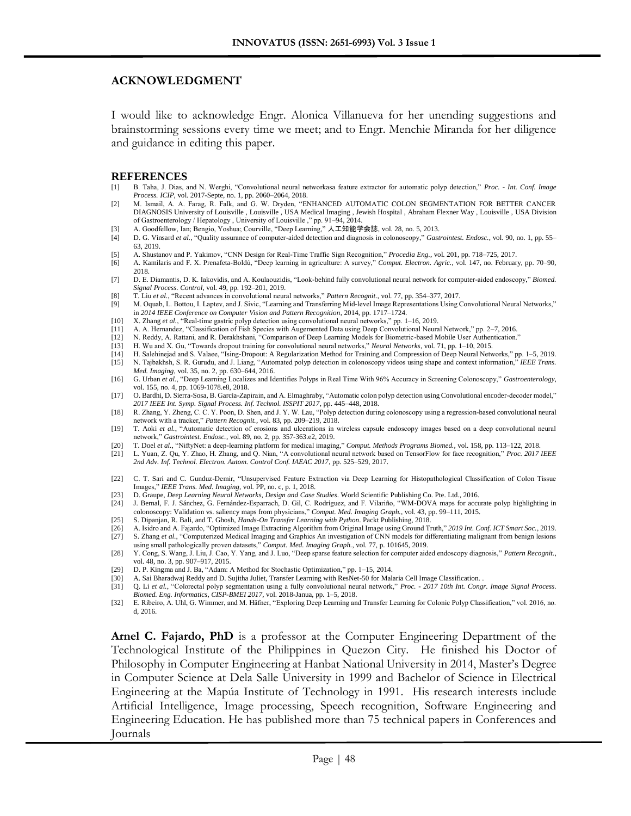#### **ACKNOWLEDGMENT**

I would like to acknowledge Engr. Alonica Villanueva for her unending suggestions and brainstorming sessions every time we meet; and to Engr. Menchie Miranda for her diligence and guidance in editing this paper.

#### **REFERENCES**

- [1] B. Taha, J. Dias, and N. Werghi, "Convolutional neural networkasa feature extractor for automatic polyp detection," *Proc. - Int. Conf. Image Process. ICIP*, vol. 2017-Septe, no. 1, pp. 2060–2064, 2018.
- [2] M. Ismail, A. A. Farag, R. Falk, and G. W. Dryden, "ENHANCED AUTOMATIC COLON SEGMENTATION FOR BETTER CANCER DIAGNOSIS University of Louisville , Louisville , USA Medical Imaging , Jewish Hospital , Abraham Flexner Way , Louisville , USA Division of Gastroenterology / Hepatology , University of Louisville ," pp. 91–94, 2014.
- [3] A. Goodfellow, Ian; Bengio, Yoshua; Courville, "Deep Learning," 人工知能学会誌, vol. 28, no. 5, 2013.
- [4] D. G. Vinsard *et al.*, "Quality assurance of computer-aided detection and diagnosis in colonoscopy," *Gastrointest. Endosc.*, vol. 90, no. 1, pp. 55– 63, 2019.
- [5] A. Shustanov and P. Yakimov, "CNN Design for Real-Time Traffic Sign Recognition," *Procedia Eng.*, vol. 201, pp. 718–725, 2017.
- [6] A. Kamilaris and F. X. Prenafeta-Boldú, "Deep learning in agriculture: A survey," *Comput. Electron. Agric.*, vol. 147, no. February, pp. 70–90, 2018.
- [7] D. E. Diamantis, D. K. Iakovidis, and A. Koulaouzidis, "Look-behind fully convolutional neural network for computer-aided endoscopy," *Biomed. Signal Process. Control*, vol. 49, pp. 192–201, 2019.
- [8] T. Liu *et al.*, "Recent advances in convolutional neural networks," *Pattern Recognit.*, vol. 77, pp. 354–377, 2017.
- [9] M. Oquab, L. Bottou, I. Laptev, and J. Sivic, "Learning and Transferring Mid-level Image Representations Using Convolutional Neural Networks," in *2014 IEEE Conference on Computer Vision and Pattern Recognition*, 2014, pp. 1717–1724.
- [10] X. Zhang *et al.*, "Real-time gastric polyp detection using convolutional neural networks," pp. 1–16, 2019.
- [11] A. A. Hernandez, "Classification of Fish Species with Augemented Data using Deep Convolutional Neural Network," pp. 2–7, 2016.
- [12] N. Reddy, A. Rattani, and R. Derakhshani, "Comparison of Deep Learning Models for Biometric-based Mobile User Authentication." [13] H. Wu and X. Gu, "Towards dropout training for convolutional neural networks," Neural
- [13] H. Wu and X. Gu, "Towards dropout training for convolutional neural networks," *Neural Networks*, vol. 71, pp. 1–10, 2015.
- [14] H. Salehinejad and S. Valaee, "Ising-Dropout: A Regularization Method for Training and Compression of Deep Neural Networks," pp. 1–5, 2019. [15] N. Tajbakhsh, S. R. Gurudu, and J. Liang, "Automated polyp detection in colonoscopy videos using shape and context information," *IEEE Trans. Med. Imaging*, vol. 35, no. 2, pp. 630–644, 2016.
- [16] G. Urban *et al.*, "Deep Learning Localizes and Identifies Polyps in Real Time With 96% Accuracy in Screening Colonoscopy," *Gastroenterology*, vol. 155, no. 4, pp. 1069-1078.e8, 2018.
- [17] O. Bardhi, D. Sierra-Sosa, B. Garcia-Zapirain, and A. Elmaghraby, "Automatic colon polyp detection using Convolutional encoder-decoder model," *2017 IEEE Int. Symp. Signal Process. Inf. Technol. ISSPIT 2017*, pp. 445–448, 2018.
- [18] R. Zhang, Y. Zheng, C. C. Y. Poon, D. Shen, and J. Y. W. Lau, "Polyp detection during colonoscopy using a regression-based convolutional neural network with a tracker," *Pattern Recognit.*, vol. 83, pp. 209–219, 2018.
- [19] T. Aoki *et al.*, "Automatic detection of erosions and ulcerations in wireless capsule endoscopy images based on a deep convolutional neural network," *Gastrointest. Endosc.*, vol. 89, no. 2, pp. 357-363.e2, 2019.
- [20] T. Doel *et al.*, "NiftyNet: a deep-learning platform for medical imaging," *Comput. Methods Programs Biomed.*, vol. 158, pp. 113–122, 2018.
- [21] L. Yuan, Z. Qu, Y. Zhao, H. Zhang, and Q. Nian, "A convolutional neural network based on TensorFlow for face recognition," *Proc. 2017 IEEE 2nd Adv. Inf. Technol. Electron. Autom. Control Conf. IAEAC 2017*, pp. 525–529, 2017.
- [22] C. T. Sari and C. Gunduz-Demir, "Unsupervised Feature Extraction via Deep Learning for Histopathological Classification of Colon Tissue Images," *IEEE Trans. Med. Imaging*, vol. PP, no. c, p. 1, 2018.
- [23] D. Graupe, *Deep Learning Neural Networks, Design and Case Studies*. World Scientific Publishing Co. Pte. Ltd., 2016.
- [24] J. Bernal, F. J. Sánchez, G. Fernández-Esparrach, D. Gil, C. Rodríguez, and F. Vilariño, "WM-DOVA maps for accurate polyp highlighting in colonoscopy: Validation vs. saliency maps from physicians," *Comput. Med. Imaging Graph.*, vol. 43, pp. 99–111, 2015.
- 
- [25] S. Dipanjan, R. Bali, and T. Ghosh, *Hands-On Transfer Learning with Python*. Packt Publishing, 2018. [26] A. Isidro and A. Fajardo, "Optimized Image Extracting Algorithm from Original Image using Ground Truth," *2019 Int. Conf. ICT Smart Soc.*, 2019.
- [27] S. Zhang *et al.*, "Computerized Medical Imaging and Graphics An investigation of CNN models for differentiating malignant from benign lesions
- using small pathologically proven datasets," *Comput. Med. Imaging Graph.*, vol. 77, p. 101645, 2019. [28] Y. Cong, S. Wang, J. Liu, J. Cao, Y. Yang, and J. Luo, "Deep sparse feature selection for computer aided endoscopy diagnosis," *Pattern Recognit.*,
- vol. 48, no. 3, pp. 907–917, 2015.
- [29] D. P. Kingma and J. Ba, "Adam: A Method for Stochastic Optimization," pp. 1–15, 2014.
- [30] A. Sai Bharadwaj Reddy and D. Sujitha Juliet, Transfer Learning with ResNet-50 for Malaria Cell Image Classification. .<br>[31] Q. Li et al., "Colorectal polyp segmentation using a fully convolutional neural network," Pr
- [31] Q. Li *et al.*, "Colorectal polyp segmentation using a fully convolutional neural network," *Proc. - 2017 10th Int. Congr. Image Signal Process.*
- *Biomed. Eng. Informatics, CISP-BMEI 2017*, vol. 2018-Janua, pp. 1–5, 2018. [32] E. Ribeiro, A. Uhl, G. Wimmer, and M. Häfner, "Exploring Deep Learning and Transfer Learning for Colonic Polyp Classification," vol. 2016, no. d, 2016.

**Arnel C. Fajardo, PhD** is a professor at the Computer Engineering Department of the Technological Institute of the Philippines in Quezon City. He finished his Doctor of Philosophy in Computer Engineering at Hanbat National University in 2014, Master's Degree in Computer Science at Dela Salle University in 1999 and Bachelor of Science in Electrical Engineering at the Mapúa Institute of Technology in 1991. His research interests include Artificial Intelligence, Image processing, Speech recognition, Software Engineering and Engineering Education. He has published more than 75 technical papers in Conferences and Journals